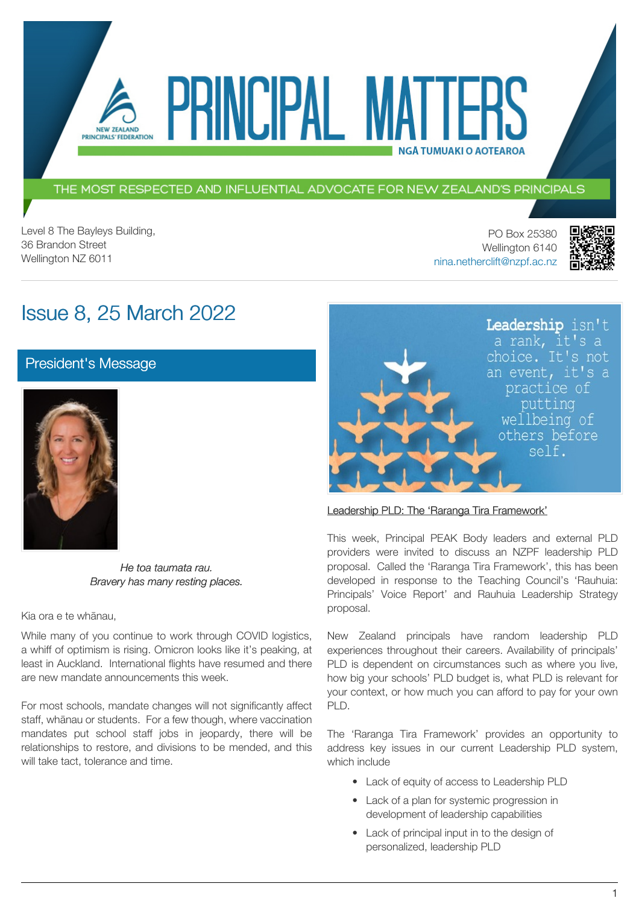THE MOST RESPECTED AND INFLUENTIAL ADVOCATE FOR NEW ZEALAND'S PRINCIPALS

VEIPAL I

Level 8 The Bayleys Building, 36 Brandon Street Wellington NZ 6011

PO Box 25380 Wellington 6140 [nina.netherclift@nzpf.ac.nz](mailto:mailto:nina.netherclift@nzpf.ac.nz)

**NGÅ TUMUAKI O AOTEAROA** 



# Issue 8, 25 March 2022

**NEW ZEALAND** PRINCIPALS' FEDERATION

[President's Message](https://nzpf.schoolzineplus.com/newsletter/article/507?skin=1)



*He toa taumata rau. Bravery has many resting places.*

Kia ora e te whānau,

While many of you continue to work through COVID logistics, a whiff of optimism is rising. Omicron looks like it's peaking, at least in Auckland. International flights have resumed and there are new mandate announcements this week.

For most schools, mandate changes will not significantly affect staff, whānau or students. For a few though, where vaccination mandates put school staff jobs in jeopardy, there will be relationships to restore, and divisions to be mended, and this will take tact, tolerance and time.



### Leadership PLD: The 'Raranga Tira Framework'

This week, Principal PEAK Body leaders and external PLD providers were invited to discuss an NZPF leadership PLD proposal. Called the 'Raranga Tira Framework', this has been developed in response to the Teaching Council's 'Rauhuia: Principals' Voice Report' and Rauhuia Leadership Strategy proposal.

New Zealand principals have random leadership PLD experiences throughout their careers. Availability of principals' PLD is dependent on circumstances such as where you live, how big your schools' PLD budget is, what PLD is relevant for your context, or how much you can afford to pay for your own PLD.

The 'Raranga Tira Framework' provides an opportunity to address key issues in our current Leadership PLD system, which include

- Lack of equity of access to Leadership PLD
- Lack of a plan for systemic progression in development of leadership capabilities
- Lack of principal input in to the design of personalized, leadership PLD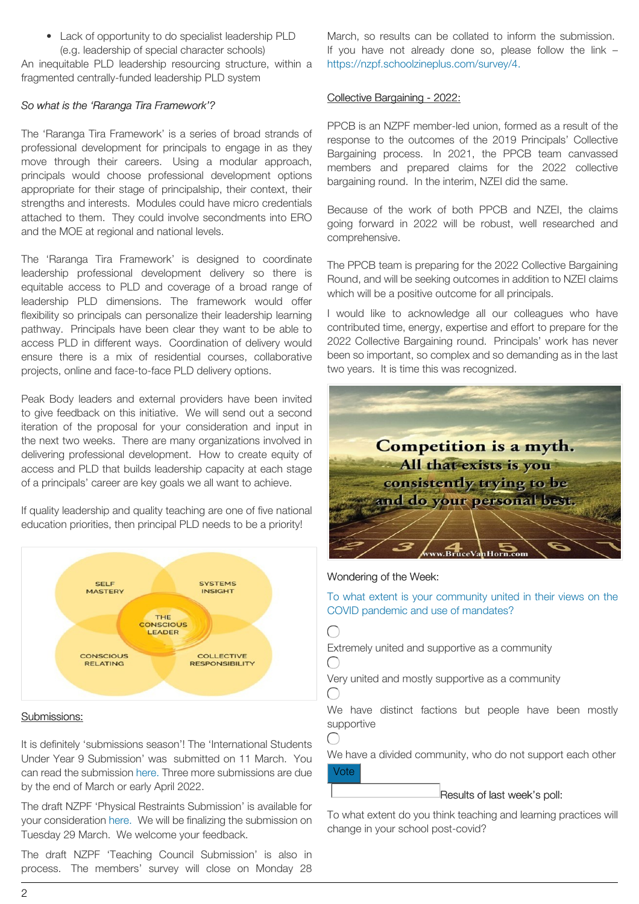• Lack of opportunity to do specialist leadership PLD (e.g. leadership of special character schools)

An inequitable PLD leadership resourcing structure, within a fragmented centrally-funded leadership PLD system

### *So what is the 'Raranga Tira Framework'?*

The 'Raranga Tira Framework' is a series of broad strands of professional development for principals to engage in as they move through their careers. Using a modular approach, principals would choose professional development options appropriate for their stage of principalship, their context, their strengths and interests. Modules could have micro credentials attached to them. They could involve secondments into ERO and the MOE at regional and national levels.

The 'Raranga Tira Framework' is designed to coordinate leadership professional development delivery so there is equitable access to PLD and coverage of a broad range of leadership PLD dimensions. The framework would offer flexibility so principals can personalize their leadership learning pathway. Principals have been clear they want to be able to access PLD in different ways. Coordination of delivery would ensure there is a mix of residential courses, collaborative projects, online and face-to-face PLD delivery options.

Peak Body leaders and external providers have been invited to give feedback on this initiative. We will send out a second iteration of the proposal for your consideration and input in the next two weeks. There are many organizations involved in delivering professional development. How to create equity of access and PLD that builds leadership capacity at each stage of a principals' career are key goals we all want to achieve.

If quality leadership and quality teaching are one of five national education priorities, then principal PLD needs to be a priority!



#### Submissions:

It is definitely 'submissions season'! The 'International Students Under Year 9 Submission' was submitted on 11 March. You can read the submission [here.](http://www.nzpf.ac.nz/uploads/7/2/4/6/72461455/nzpf_submission_on_international_students_march__2022__version_4.0_.pdf) Three more submissions are due by the end of March or early April 2022.

The draft NZPF 'Physical Restraints Submission' is available for your consideration [here.](https://nzpf.schoolzineplus.com/_file/media/308/nzpf_submission_on_restraint_guidelines_march_2022_version_1.0_.pdf) We will be finalizing the submission on Tuesday 29 March. We welcome your feedback.

The draft NZPF 'Teaching Council Submission' is also in process. The members' survey will close on Monday 28

March, so results can be collated to inform the submission. If you have not already done so, please follow the link – [https://nzpf.schoolzineplus.com/survey/4.](https://nzpf.schoolzineplus.com/survey/4)

### Collective Bargaining - 2022:

PPCB is an NZPF member-led union, formed as a result of the response to the outcomes of the 2019 Principals' Collective Bargaining process. In 2021, the PPCB team canvassed members and prepared claims for the 2022 collective bargaining round. In the interim, NZEI did the same.

Because of the work of both PPCB and NZEI, the claims going forward in 2022 will be robust, well researched and comprehensive.

The PPCB team is preparing for the 2022 Collective Bargaining Round, and will be seeking outcomes in addition to NZEI claims which will be a positive outcome for all principals.

I would like to acknowledge all our colleagues who have contributed time, energy, expertise and effort to prepare for the 2022 Collective Bargaining round. Principals' work has never been so important, so complex and so demanding as in the last two years. It is time this was recognized.



#### Wondering of the Week:

To what extent is your community united in their views on the COVID pandemic and use of mandates?

◯

Extremely united and supportive as a community  $\left(\begin{array}{c} \end{array}\right)$ 

Very united and mostly supportive as a community  $\bigcap$ 

We have distinct factions but people have been mostly supportive

We have a divided community, who do not support each other Vote

#### Results of last week's poll:

To what extent do you think teaching and learning practices will change in your school post-covid?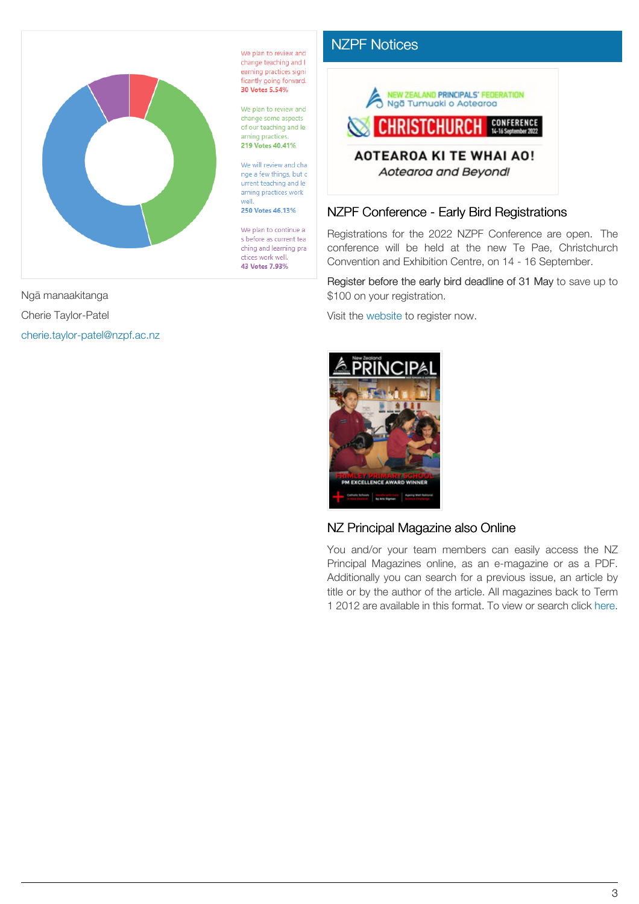

We plan to review and change teaching and I earning practices signi ficantly going forward. 30 Votes 5.54%

We plan to review and change some aspects of our teaching and le arning practices. 219 Votes 40.41%

We will review and cha nge a few things, but c urrent teaching and le arning practices work well.

250 Votes 46.13%

We plan to continue a s before as current tea ching and learning pra ctices work well. 43 Votes 7.93%



[NZPF Notices](https://nzpf.schoolzineplus.com/newsletter/article/508?skin=1)

## NZPF Conference - Early Bird Registrations

Registrations for the 2022 NZPF Conference are open. The conference will be held at the new Te Pae, Christchurch Convention and Exhibition Centre, on 14 - 16 September.

Register before the early bird deadline of 31 May to save up to \$100 on your registration.

Visit the [website](http://www.nzpfconference.com/) to register now.



### NZ Principal Magazine also Online

You and/or your team members can easily access the NZ Principal Magazines online, as an e-magazine or as a PDF. Additionally you can search for a previous issue, an article by title or by the author of the article. All magazines back to Term 1 2012 are available in this format. To view or search click [here.](http://nzprincipal.co.nz/view-the-magazine/)

Ngā manaakitanga

Cherie Taylor-Patel

[cherie.taylor-patel@nzpf.ac.nz](mailto:cherie.taylor-patel@nzpf.ac.nz)